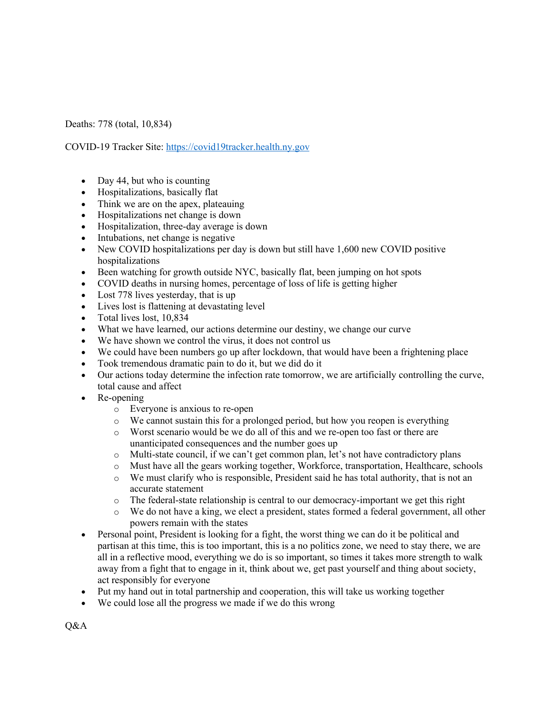Deaths: 778 (total, 10,834)

COVID-19 Tracker Site: https://covid19tracker.health.ny.gov

- Day 44, but who is counting
- Hospitalizations, basically flat
- Think we are on the apex, plateauing
- Hospitalizations net change is down
- Hospitalization, three-day average is down
- Intubations, net change is negative
- New COVID hospitalizations per day is down but still have 1,600 new COVID positive hospitalizations
- Been watching for growth outside NYC, basically flat, been jumping on hot spots
- COVID deaths in nursing homes, percentage of loss of life is getting higher
- Lost 778 lives yesterday, that is up
- Lives lost is flattening at devastating level
- Total lives lost, 10,834
- What we have learned, our actions determine our destiny, we change our curve
- We have shown we control the virus, it does not control us
- We could have been numbers go up after lockdown, that would have been a frightening place
- Took tremendous dramatic pain to do it, but we did do it
- Our actions today determine the infection rate tomorrow, we are artificially controlling the curve, total cause and affect
- Re-opening
	- o Everyone is anxious to re-open
	- o We cannot sustain this for a prolonged period, but how you reopen is everything
	- o Worst scenario would be we do all of this and we re-open too fast or there are unanticipated consequences and the number goes up
	- $\circ$  Multi-state council, if we can't get common plan, let's not have contradictory plans
	- o Must have all the gears working together, Workforce, transportation, Healthcare, schools
	- o We must clarify who is responsible, President said he has total authority, that is not an accurate statement
	- o The federal-state relationship is central to our democracy-important we get this right
	- o We do not have a king, we elect a president, states formed a federal government, all other powers remain with the states
- Personal point, President is looking for a fight, the worst thing we can do it be political and partisan at this time, this is too important, this is a no politics zone, we need to stay there, we are all in a reflective mood, everything we do is so important, so times it takes more strength to walk away from a fight that to engage in it, think about we, get past yourself and thing about society, act responsibly for everyone
- Put my hand out in total partnership and cooperation, this will take us working together
- We could lose all the progress we made if we do this wrong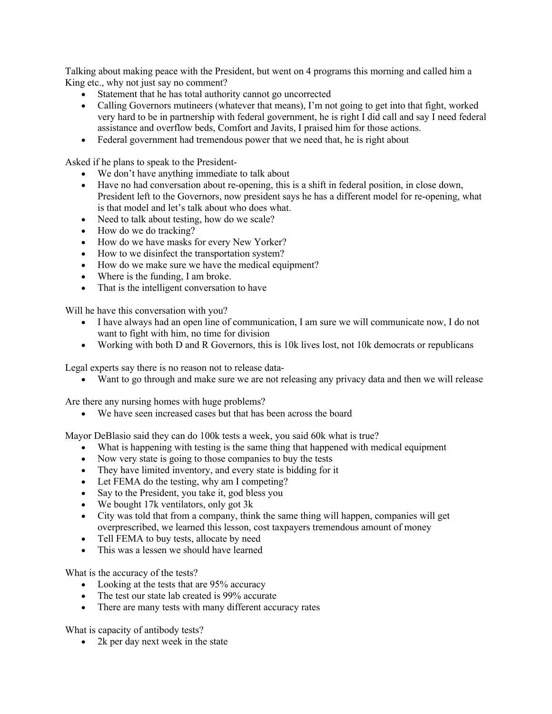Talking about making peace with the President, but went on 4 programs this morning and called him a King etc., why not just say no comment?

- Statement that he has total authority cannot go uncorrected
- Calling Governors mutineers (whatever that means), I'm not going to get into that fight, worked very hard to be in partnership with federal government, he is right I did call and say I need federal assistance and overflow beds, Comfort and Javits, I praised him for those actions.
- Federal government had tremendous power that we need that, he is right about

Asked if he plans to speak to the President-

- We don't have anything immediate to talk about
- Have no had conversation about re-opening, this is a shift in federal position, in close down, President left to the Governors, now president says he has a different model for re-opening, what is that model and let's talk about who does what.
- Need to talk about testing, how do we scale?
- How do we do tracking?
- How do we have masks for every New Yorker?
- How to we disinfect the transportation system?
- How do we make sure we have the medical equipment?
- Where is the funding, I am broke.
- That is the intelligent conversation to have

Will he have this conversation with you?

- I have always had an open line of communication, I am sure we will communicate now, I do not want to fight with him, no time for division
- Working with both D and R Governors, this is 10k lives lost, not 10k democrats or republicans

Legal experts say there is no reason not to release data-

• Want to go through and make sure we are not releasing any privacy data and then we will release

Are there any nursing homes with huge problems?

• We have seen increased cases but that has been across the board

Mayor DeBlasio said they can do 100k tests a week, you said 60k what is true?

- What is happening with testing is the same thing that happened with medical equipment
- Now very state is going to those companies to buy the tests
- They have limited inventory, and every state is bidding for it
- Let FEMA do the testing, why am I competing?
- Say to the President, you take it, god bless you
- We bought 17k ventilators, only got 3k
- City was told that from a company, think the same thing will happen, companies will get overprescribed, we learned this lesson, cost taxpayers tremendous amount of money
- Tell FEMA to buy tests, allocate by need
- This was a lessen we should have learned

What is the accuracy of the tests?

- Looking at the tests that are 95% accuracy
- The test our state lab created is 99% accurate
- There are many tests with many different accuracy rates

What is capacity of antibody tests?

• 2k per day next week in the state